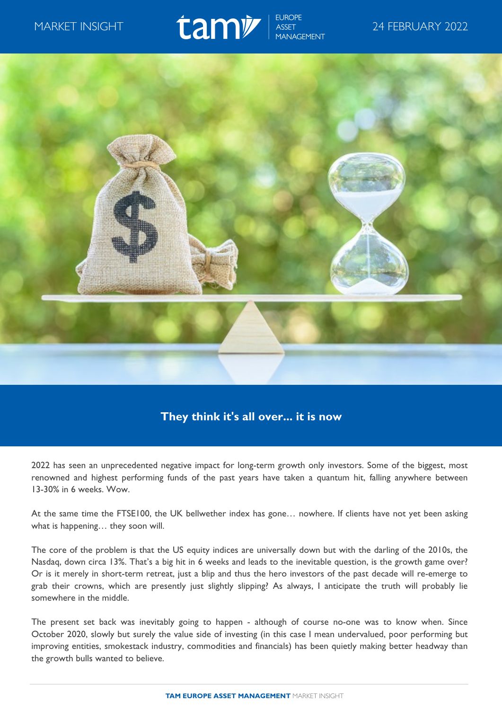## MARKET INSIGHT  $\overline{a}$   $\overline{a}$   $\overline{b}$   $\overline{b}$   $\overline{b}$   $\overline{b}$   $\overline{c}$   $\overline{b}$   $\overline{c}$   $\overline{c}$   $\overline{c}$   $\overline{c}$   $\overline{c}$   $\overline{c}$   $\overline{c}$   $\overline{c}$   $\overline{c}$   $\overline{c}$   $\overline{c}$   $\overline{c}$   $\overline{c}$   $\overline{c}$   $\overline{c}$



## **They think it's all over... it is now**

2022 has seen an unprecedented negative impact for long-term growth only investors. Some of the biggest, most renowned and highest performing funds of the past years have taken a quantum hit, falling anywhere between 13-30% in 6 weeks. Wow.

At the same time the FTSE100, the UK bellwether index has gone… nowhere. If clients have not yet been asking what is happening… they soon will.

The core of the problem is that the US equity indices are universally down but with the darling of the 2010s, the Nasdaq, down circa 13%. That's a big hit in 6 weeks and leads to the inevitable question, is the growth game over? Or is it merely in short-term retreat, just a blip and thus the hero investors of the past decade will re-emerge to grab their crowns, which are presently just slightly slipping? As always, I anticipate the truth will probably lie somewhere in the middle.

The present set back was inevitably going to happen - although of course no-one was to know when. Since October 2020, slowly but surely the value side of investing (in this case I mean undervalued, poor performing but improving entities, smokestack industry, commodities and financials) has been quietly making better headway than the growth bulls wanted to believe.